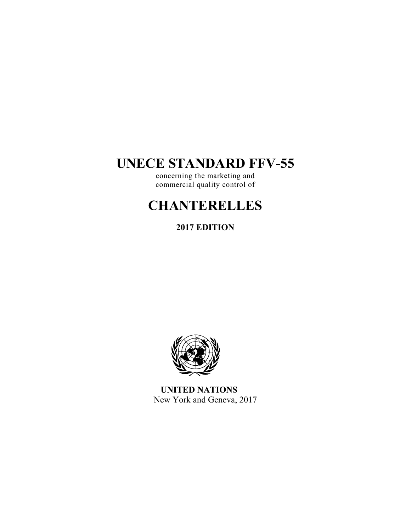# **UNECE STANDARD FFV-55**

concerning the marketing and commercial quality control of

# **CHANTERELLES**

**2017 EDITION** 



**UNITED NATIONS**  New York and Geneva, 2017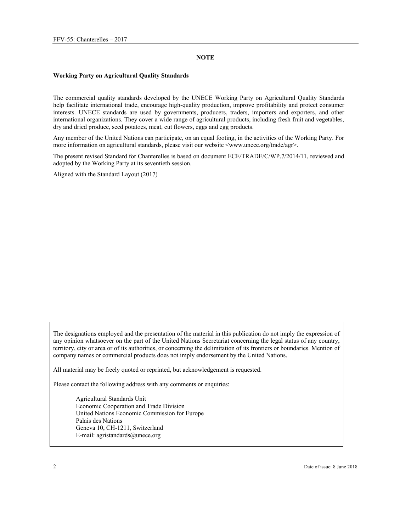### **NOTE**

#### **Working Party on Agricultural Quality Standards**

The commercial quality standards developed by the UNECE Working Party on Agricultural Quality Standards help facilitate international trade, encourage high-quality production, improve profitability and protect consumer interests. UNECE standards are used by governments, producers, traders, importers and exporters, and other international organizations. They cover a wide range of agricultural products, including fresh fruit and vegetables, dry and dried produce, seed potatoes, meat, cut flowers, eggs and egg products.

Any member of the United Nations can participate, on an equal footing, in the activities of the Working Party. For more information on agricultural standards, please visit our website  $\langle$ www.unece.org/trade/agr>.

The present revised Standard for Chanterelles is based on document ECE/TRADE/C/WP.7/2014/11, reviewed and adopted by the Working Party at its seventieth session.

Aligned with the Standard Layout (2017)

The designations employed and the presentation of the material in this publication do not imply the expression of any opinion whatsoever on the part of the United Nations Secretariat concerning the legal status of any country, territory, city or area or of its authorities, or concerning the delimitation of its frontiers or boundaries. Mention of company names or commercial products does not imply endorsement by the United Nations.

All material may be freely quoted or reprinted, but acknowledgement is requested.

Please contact the following address with any comments or enquiries:

Agricultural Standards Unit Economic Cooperation and Trade Division United Nations Economic Commission for Europe Palais des Nations Geneva 10, CH-1211, Switzerland E-mail: agristandards@unece.org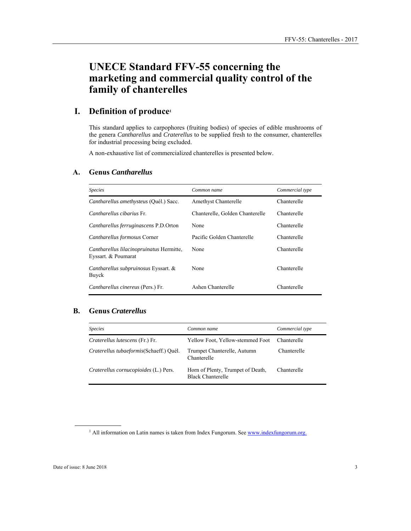# **UNECE Standard FFV-55 concerning the marketing and commercial quality control of the family of chanterelles**

# **I. Definition of produce1**

This standard applies to carpophores (fruiting bodies) of species of edible mushrooms of the genera *Cantharellus* and *Craterellus* to be supplied fresh to the consumer, chanterelles for industrial processing being excluded.

A non-exhaustive list of commercialized chanterelles is presented below.

#### **A. Genus** *Cantharellus*

| <i>Species</i>                                                  | Common name                     | Commercial type |
|-----------------------------------------------------------------|---------------------------------|-----------------|
| Cantharellus amethysteus (Quél.) Sacc.                          | Amethyst Chanterelle            | Chanterelle     |
| Cantharellus cibarius Fr.                                       | Chanterelle, Golden Chanterelle | Chanterelle     |
| Cantharellus ferruginascens P.D.Orton                           | None                            | Chanterelle     |
| Cantharellus formosus Corner                                    | Pacific Golden Chanterelle      | Chanterelle     |
| Cantharellus lilacinopruinatus Hermitte,<br>Eyssart. & Poumarat | None                            | Chanterelle     |
| Cantharellus subpruinosus Eyssart. &<br>Buyck                   | None                            | Chanterelle     |
| Cantharellus cinereus (Pers.) Fr.                               | Ashen Chanterelle               | Chanterelle     |

# **B. Genus** *Craterellus*

| <i>Species</i>                           | Common name                                                   | Commercial type |
|------------------------------------------|---------------------------------------------------------------|-----------------|
| <i>Craterellus lutescens</i> (Fr.) Fr.   | Yellow Foot, Yellow-stemmed Foot                              | Chanterelle     |
| Craterellus tubaeformis (Schaeff.) Quél. | Trumpet Chanterelle, Autumn<br>Chanterelle                    | Chanterelle     |
| Craterellus cornucopioides (L.) Pers.    | Horn of Plenty, Trumpet of Death,<br><b>Black Chanterelle</b> | Chanterelle     |

 $\overline{a}$ 

<sup>&</sup>lt;sup>1</sup> All information on Latin names is taken from Index Fungorum. See www.indexfungorum.org.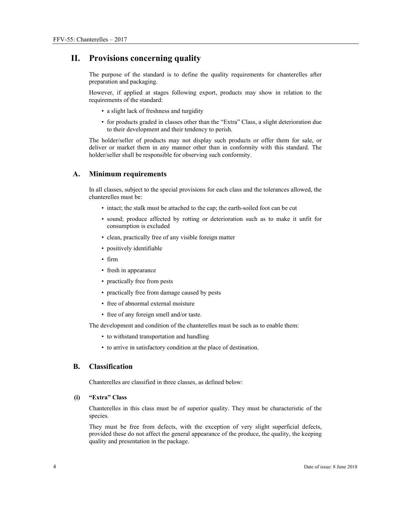# **II. Provisions concerning quality**

The purpose of the standard is to define the quality requirements for chanterelles after preparation and packaging.

However, if applied at stages following export, products may show in relation to the requirements of the standard:

- a slight lack of freshness and turgidity
- for products graded in classes other than the "Extra" Class, a slight deterioration due to their development and their tendency to perish.

The holder/seller of products may not display such products or offer them for sale, or deliver or market them in any manner other than in conformity with this standard. The holder/seller shall be responsible for observing such conformity.

#### **A. Minimum requirements**

In all classes, subject to the special provisions for each class and the tolerances allowed, the chanterelles must be:

- intact; the stalk must be attached to the cap; the earth-soiled foot can be cut
- sound; produce affected by rotting or deterioration such as to make it unfit for consumption is excluded
- clean, practically free of any visible foreign matter
- positively identifiable
- firm
- fresh in appearance
- practically free from pests
- practically free from damage caused by pests
- free of abnormal external moisture
- free of any foreign smell and/or taste.

The development and condition of the chanterelles must be such as to enable them:

- to withstand transportation and handling
- to arrive in satisfactory condition at the place of destination.

#### **B. Classification**

Chanterelles are classified in three classes, as defined below:

#### **(i) "Extra" Class**

Chanterelles in this class must be of superior quality. They must be characteristic of the species.

They must be free from defects, with the exception of very slight superficial defects, provided these do not affect the general appearance of the produce, the quality, the keeping quality and presentation in the package.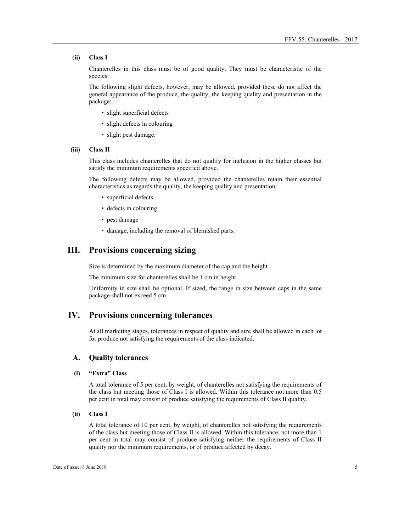#### **(ii) Class I**

Chanterelles in this class must be of good quality. They must be characteristic of the species.

The following slight defects, however, may be allowed, provided these do not affect the general appearance of the produce, the quality, the keeping quality and presentation in the package:

- slight superficial defects
- slight defects in colouring
- slight pest damage.

#### **(iii) Class II**

This class includes chanterelles that do not qualify for inclusion in the higher classes but satisfy the minimum requirements specified above.

The following defects may be allowed, provided the chanterelles retain their essential characteristics as regards the quality, the keeping quality and presentation:

- superficial defects
- defects in colouring
- pest damage
- damage, including the removal of blemished parts.

# **III. Provisions concerning sizing**

Size is determined by the maximum diameter of the cap and the height.

The minimum size for chanterelles shall be 1 cm in height.

Uniformity in size shall be optional. If sized, the range in size between caps in the same package shall not exceed 5 cm.

# **IV. Provisions concerning tolerances**

At all marketing stages, tolerances in respect of quality and size shall be allowed in each lot for produce not satisfying the requirements of the class indicated.

#### **A. Quality tolerances**

#### **(i) "Extra" Class**

A total tolerance of 5 per cent, by weight, of chanterelles not satisfying the requirements of the class but meeting those of Class I is allowed. Within this tolerance not more than 0.5 per cent in total may consist of produce satisfying the requirements of Class II quality.

#### **(ii) Class I**

A total tolerance of 10 per cent, by weight, of chanterelles not satisfying the requirements of the class but meeting those of Class II is allowed. Within this tolerance, not more than 1 per cent in total may consist of produce satisfying neither the requirements of Class II quality nor the minimum requirements, or of produce affected by decay.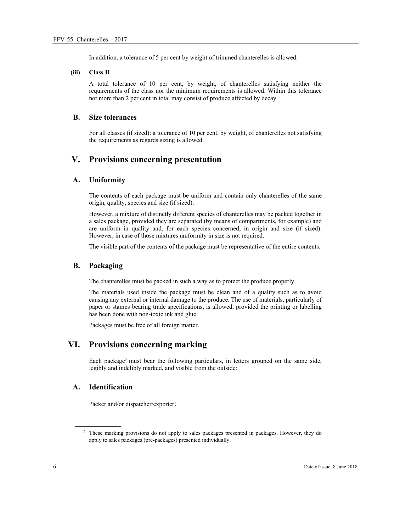In addition, a tolerance of 5 per cent by weight of trimmed chanterelles is allowed.

#### **(iii) Class II**

A total tolerance of 10 per cent, by weight, of chanterelles satisfying neither the requirements of the class nor the minimum requirements is allowed. Within this tolerance not more than 2 per cent in total may consist of produce affected by decay.

#### **B. Size tolerances**

For all classes (if sized): a tolerance of 10 per cent, by weight, of chanterelles not satisfying the requirements as regards sizing is allowed.

# **V. Provisions concerning presentation**

### **A. Uniformity**

The contents of each package must be uniform and contain only chanterelles of the same origin, quality, species and size (if sized).

However, a mixture of distinctly different species of chanterelles may be packed together in a sales package, provided they are separated (by means of compartments, for example) and are uniform in quality and, for each species concerned, in origin and size (if sized). However, in case of those mixtures uniformity in size is not required.

The visible part of the contents of the package must be representative of the entire contents.

#### **B. Packaging**

The chanterelles must be packed in such a way as to protect the produce properly.

The materials used inside the package must be clean and of a quality such as to avoid causing any external or internal damage to the produce. The use of materials, particularly of paper or stamps bearing trade specifications, is allowed, provided the printing or labelling has been done with non-toxic ink and glue.

Packages must be free of all foreign matter.

# **VI. Provisions concerning marking**

Each package<sup>2</sup> must bear the following particulars, in letters grouped on the same side, legibly and indelibly marked, and visible from the outside:

## **A. Identification**

Packer and/or dispatcher/exporter:

 $\overline{a}$ 

<sup>&</sup>lt;sup>2</sup> These marking provisions do not apply to sales packages presented in packages. However, they do apply to sales packages (pre-packages) presented individually.